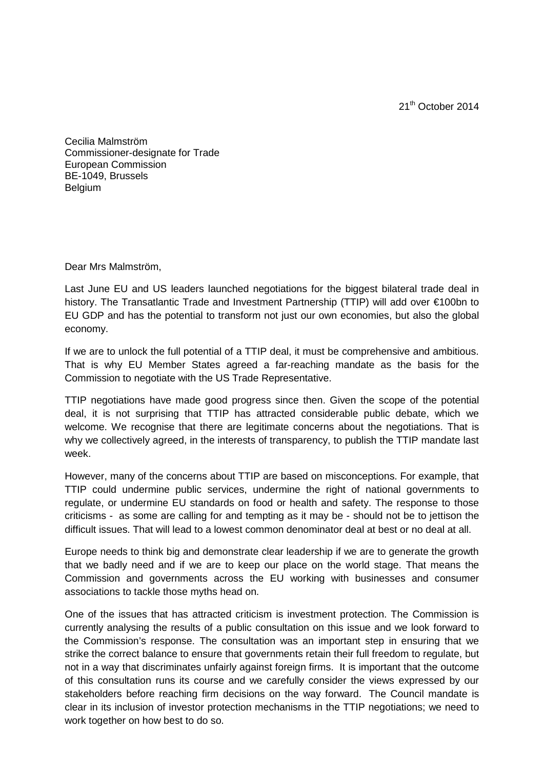21<sup>th</sup> October 2014

Cecilia Malmström Commissioner-designate for Trade European Commission BE-1049, Brussels **Belgium** 

Dear Mrs Malmström,

Last June EU and US leaders launched negotiations for the biggest bilateral trade deal in history. The Transatlantic Trade and Investment Partnership (TTIP) will add over €100bn to EU GDP and has the potential to transform not just our own economies, but also the global economy.

If we are to unlock the full potential of a TTIP deal, it must be comprehensive and ambitious. That is why EU Member States agreed a far-reaching mandate as the basis for the Commission to negotiate with the US Trade Representative.

TTIP negotiations have made good progress since then. Given the scope of the potential deal, it is not surprising that TTIP has attracted considerable public debate, which we welcome. We recognise that there are legitimate concerns about the negotiations. That is why we collectively agreed, in the interests of transparency, to publish the TTIP mandate last week.

However, many of the concerns about TTIP are based on misconceptions. For example, that TTIP could undermine public services, undermine the right of national governments to regulate, or undermine EU standards on food or health and safety. The response to those criticisms - as some are calling for and tempting as it may be - should not be to jettison the difficult issues. That will lead to a lowest common denominator deal at best or no deal at all.

Europe needs to think big and demonstrate clear leadership if we are to generate the growth that we badly need and if we are to keep our place on the world stage. That means the Commission and governments across the EU working with businesses and consumer associations to tackle those myths head on.

One of the issues that has attracted criticism is investment protection. The Commission is currently analysing the results of a public consultation on this issue and we look forward to the Commission's response. The consultation was an important step in ensuring that we strike the correct balance to ensure that governments retain their full freedom to regulate, but not in a way that discriminates unfairly against foreign firms. It is important that the outcome of this consultation runs its course and we carefully consider the views expressed by our stakeholders before reaching firm decisions on the way forward. The Council mandate is clear in its inclusion of investor protection mechanisms in the TTIP negotiations; we need to work together on how best to do so.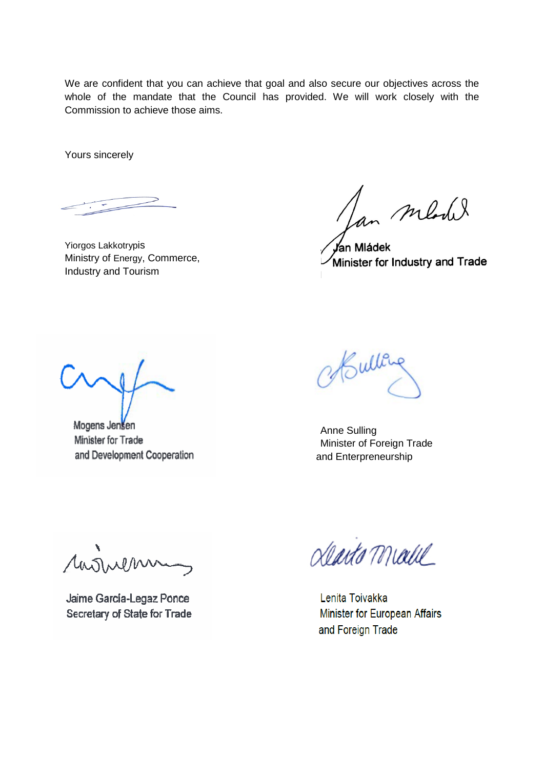We are confident that you can achieve that goal and also secure our objectives across the whole of the mandate that the Council has provided. We will work closely with the Commission to achieve those aims.

Yours sincerely

Yiorgos Lakkotrypis Ministry of Energy, Commerce, Industry and Tourism

Lan medil

Jan Mládek Minister for Industry and Trade

Mogens Jensen Minister for Trade and Development Cooperation

Bulley

Anne Sulling Minister of Foreign Trade and Enterpreneurship

rarinem

Jaime García-Legaz Ponce Secretary of State for Trade

dento Malle

Lenita Toivakka Minister for European Affairs and Foreign Trade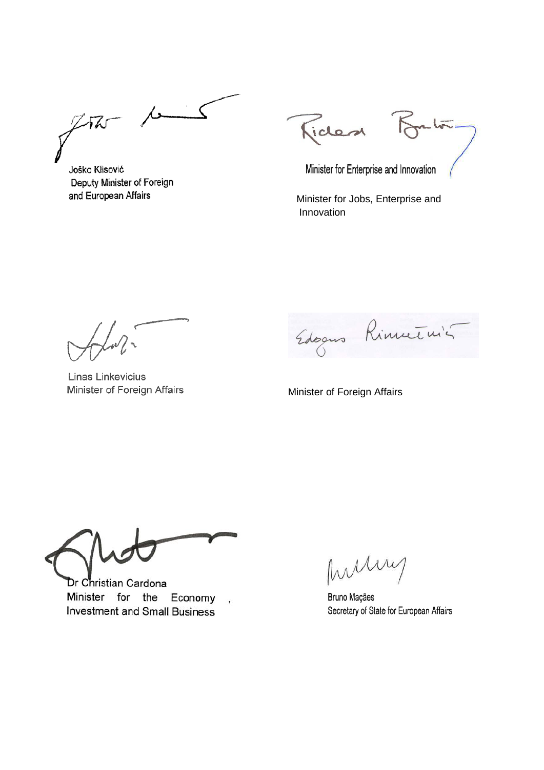$\mu$  $\zeta$  $272 -$ 

Joško Klisović Deputy Minister of Foreign and European Affairs

Ficles

 $L\overline{I\overline{N}}$ .

Minister for Enterprise and Innovation

 Minister for Jobs, Enterprise and Innovation

Linas Linkevicius

Edoques Rinnetuis

Minister of Foreign Affairs

Dr Christian Cardona Minister for the Economy **Investment and Small Business** 

 $\ddot{\phantom{1}}$ 

Instin

Bruno Maçães Secretary of State for European Affairs